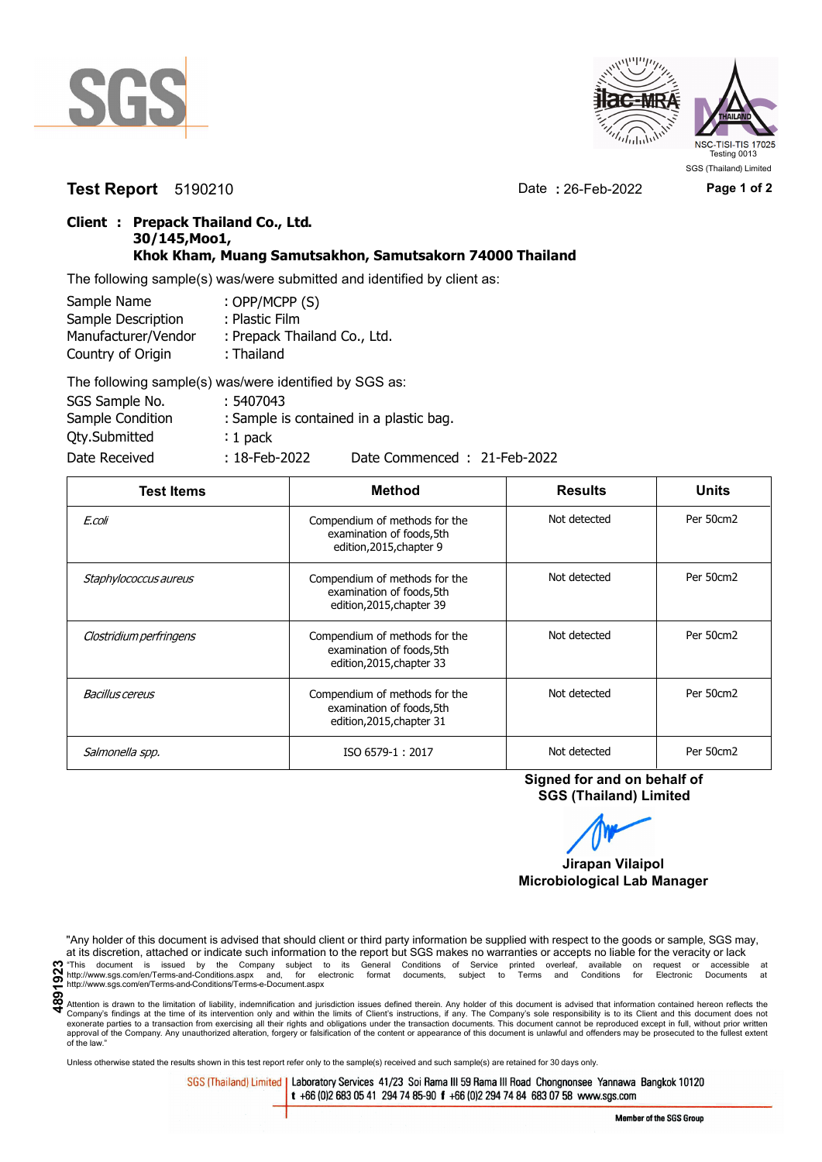



**Test Report** 5190210 Date **:** 26-Feb-2022 **Page 1 of 2**

## **Client : Prepack Thailand Co., Ltd. 30/145,Moo1, Khok Kham, Muang Samutsakhon, Samutsakorn 74000 Thailand**

The following sample(s) was/were submitted and identified by client as:

| Sample Name         | : OPP/MCPP (S)               |
|---------------------|------------------------------|
| Sample Description  | : Plastic Film               |
| Manufacturer/Vendor | : Prepack Thailand Co., Ltd. |
| Country of Origin   | : Thailand                   |
|                     |                              |

| The following sample(s) was/were identified by SGS as: |                  |                                         |
|--------------------------------------------------------|------------------|-----------------------------------------|
| SGS Sample No.                                         | : 5407043        |                                         |
| Sample Condition                                       |                  | : Sample is contained in a plastic bag. |
| <b>Qty.Submitted</b>                                   | $: 1$ pack       |                                         |
| Date Received                                          | $: 18$ -Feb-2022 | Date Commenced: 21-Feb-2022             |

| <b>Test Items</b>       | <b>Method</b>                                                                           | <b>Results</b> | <b>Units</b> |
|-------------------------|-----------------------------------------------------------------------------------------|----------------|--------------|
| E.coli                  | Compendium of methods for the<br>examination of foods, 5th<br>edition, 2015, chapter 9  | Not detected   | Per 50cm2    |
| Staphylococcus aureus   | Compendium of methods for the<br>examination of foods, 5th<br>edition, 2015, chapter 39 | Not detected   | Per 50cm2    |
| Clostridium perfringens | Compendium of methods for the<br>examination of foods, 5th<br>edition, 2015, chapter 33 | Not detected   | Per 50cm2    |
| Bacillus cereus         | Compendium of methods for the<br>examination of foods, 5th<br>edition, 2015, chapter 31 | Not detected   | Per 50cm2    |
| Salmonella spp.         | ISO 6579-1:2017                                                                         | Not detected   | Per 50cm2    |

**Signed for and on behalf of SGS (Thailand) Limited**



**Microbiological Lab Manager**

"Any holder of this document is advised that should client or third party information be supplied with respect to the goods or sample, SGS may, at its discretion, attached or indicate such information to the report but SGS makes no warranties or accepts no liable for the veracity or lack **4891923**"This document is issued by the Company subject to its General Conditions of Service printed overleaf, available on request or accessible at http://www.sgs.com/en/Terms-and-Conditions.aspx and, for electronic format documents, subject to Terms and Conditions for Electronic Documents at http://www.sgs.com/en/Terms-and-Conditions/Terms-e-Document.aspx

Attention is drawn to the limitation of liability, indemnification and jurisdiction issues defined therein. Any holder of this document is advised that information contained hereon reflects the Company's findings at the time of its intervention only and within the limits of Client's instructions, if any. The Company's sole responsibility is to its Client and this document does not<br>exonerate parties to a transacti approval of the Company. Any unauthorized alteration, forgery or falsification of the content or appearance of this document is unlawful and offenders may be prosecuted to the fullest extent approval of the Company. Any un of the law."

Unless otherwise stated the results shown in this test report refer only to the sample(s) received and such sample(s) are retained for 30 days only.

SGS (Thailand) Limited | Laboratory Services 41/23 Soi Rama III 59 Rama III Road Chongnonsee Yannawa Bangkok 10120 t +66 (0)2 683 05 41 294 74 85-90 f +66 (0)2 294 74 84 683 07 58 www.sgs.com